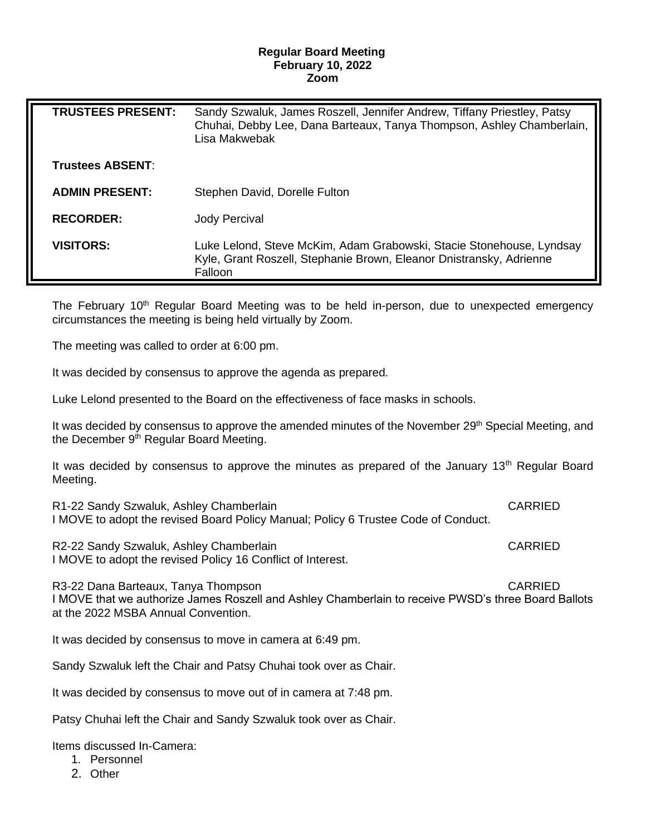## **Regular Board Meeting February 10, 2022 Zoom**

| <b>TRUSTEES PRESENT:</b> | Sandy Szwaluk, James Roszell, Jennifer Andrew, Tiffany Priestley, Patsy<br>Chuhai, Debby Lee, Dana Barteaux, Tanya Thompson, Ashley Chamberlain,<br>Lisa Makwebak |
|--------------------------|-------------------------------------------------------------------------------------------------------------------------------------------------------------------|
| <b>Trustees ABSENT:</b>  |                                                                                                                                                                   |
| <b>ADMIN PRESENT:</b>    | Stephen David, Dorelle Fulton                                                                                                                                     |
| <b>RECORDER:</b>         | Jody Percival                                                                                                                                                     |
| <b>VISITORS:</b>         | Luke Lelond, Steve McKim, Adam Grabowski, Stacie Stonehouse, Lyndsay<br>Kyle, Grant Roszell, Stephanie Brown, Eleanor Dnistransky, Adrienne<br>Falloon            |

The February 10<sup>th</sup> Regular Board Meeting was to be held in-person, due to unexpected emergency circumstances the meeting is being held virtually by Zoom.

The meeting was called to order at 6:00 pm.

It was decided by consensus to approve the agenda as prepared.

Luke Lelond presented to the Board on the effectiveness of face masks in schools.

It was decided by consensus to approve the amended minutes of the November 29<sup>th</sup> Special Meeting, and the December 9<sup>th</sup> Regular Board Meeting.

It was decided by consensus to approve the minutes as prepared of the January  $13<sup>th</sup>$  Regular Board Meeting.

R1-22 Sandy Szwaluk, Ashley Chamberlain CARRIED I MOVE to adopt the revised Board Policy Manual; Policy 6 Trustee Code of Conduct.

R2-22 Sandy Szwaluk, Ashley Chamberlain CARRIED CARRIED I MOVE to adopt the revised Policy 16 Conflict of Interest.

R3-22 Dana Barteaux, Tanya Thompson CARRIED I MOVE that we authorize James Roszell and Ashley Chamberlain to receive PWSD's three Board Ballots at the 2022 MSBA Annual Convention.

It was decided by consensus to move in camera at 6:49 pm.

Sandy Szwaluk left the Chair and Patsy Chuhai took over as Chair.

It was decided by consensus to move out of in camera at 7:48 pm.

Patsy Chuhai left the Chair and Sandy Szwaluk took over as Chair.

Items discussed In-Camera:

- 1. Personnel
- 2. Other